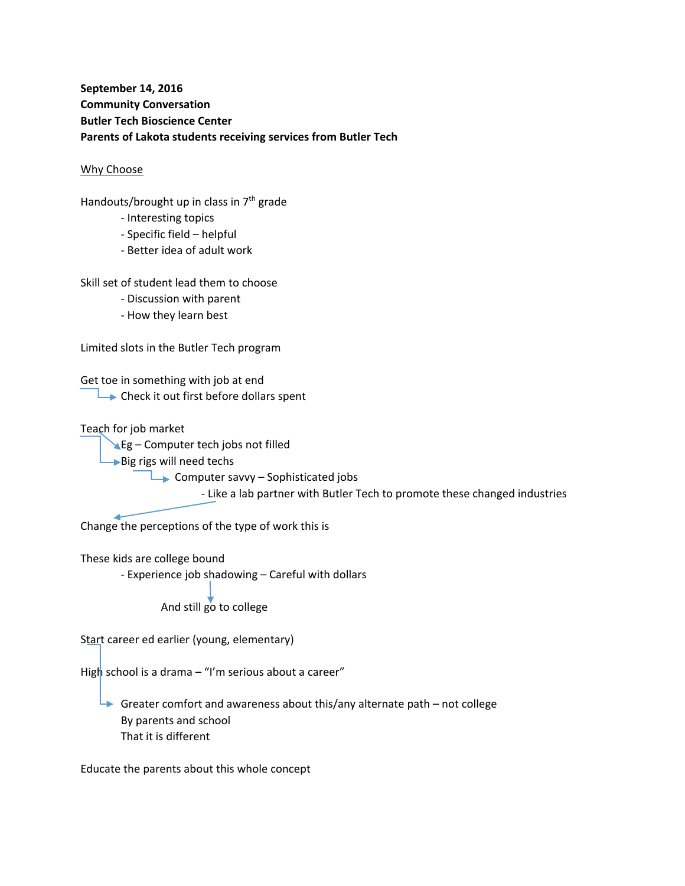## **September 14, 2016 Community Conversation Butler Tech Bioscience Center Parents of Lakota students receiving services from Butler Tech**

## Why Choose

Handouts/brought up in class in  $7<sup>th</sup>$  grade

- ‐ Interesting topics
- ‐ Specific field helpful
- ‐ Better idea of adult work

Skill set of student lead them to choose

- ‐ Discussion with parent
- ‐ How they learn best

Limited slots in the Butler Tech program

Get toe in something with job at end  $\rightarrow$  Check it out first before dollars spent

Teach for job market

**Eg** – Computer tech jobs not filled

 $\rightarrow$  Big rigs will need techs

Computer savvy – Sophisticated jobs

‐ Like a lab partner with Butler Tech to promote these changed industries

Change the perceptions of the type of work this is

These kids are college bound

‐ Experience job shadowing – Careful with dollars

And still go to college

Start career ed earlier (young, elementary)

High school is a drama – "I'm serious about a career"

Greater comfort and awareness about this/any alternate path – not college By parents and school That it is different

Educate the parents about this whole concept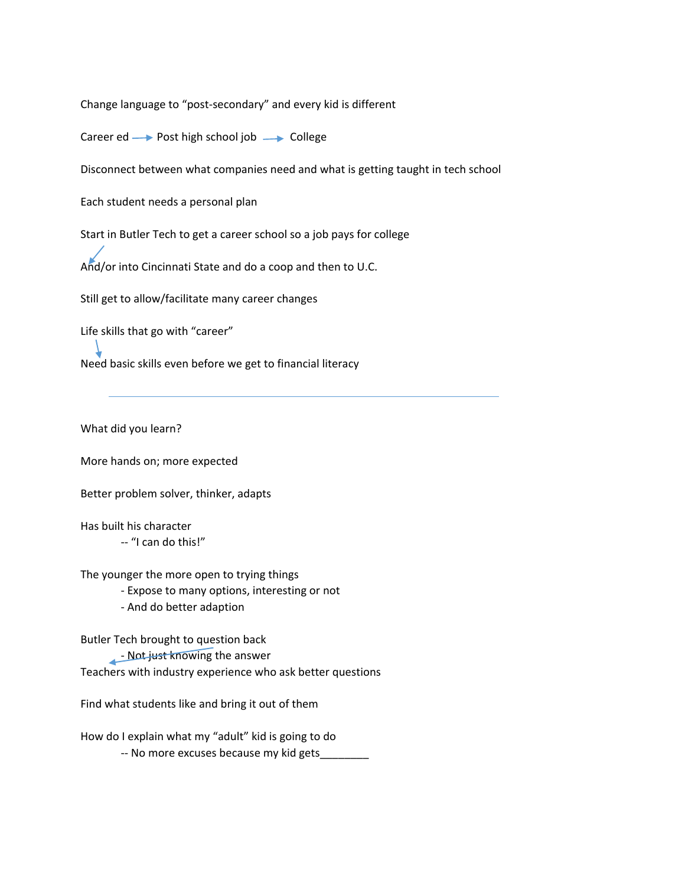Change language to "post‐secondary" and every kid is different

Career ed  $\longrightarrow$  Post high school job  $\longrightarrow$  College

Disconnect between what companies need and what is getting taught in tech school

Each student needs a personal plan

Start in Butler Tech to get a career school so a job pays for college

And/or into Cincinnati State and do a coop and then to U.C.

Still get to allow/facilitate many career changes

Life skills that go with "career"

Need basic skills even before we get to financial literacy

What did you learn?

More hands on; more expected

Better problem solver, thinker, adapts

Has built his character ‐‐ "I can do this!"

The younger the more open to trying things

‐ Expose to many options, interesting or not

‐ And do better adaption

Butler Tech brought to question back

- Not just knowing the answer Teachers with industry experience who ask better questions

Find what students like and bring it out of them

How do I explain what my "adult" kid is going to do -- No more excuses because my kid gets